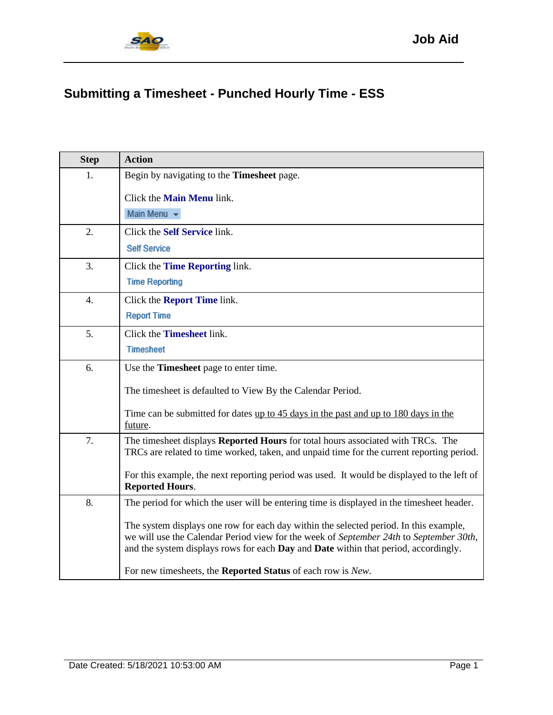

## **Submitting a Timesheet - Punched Hourly Time - ESS**

| <b>Step</b>      | <b>Action</b>                                                                                                                                                                                                                                                          |
|------------------|------------------------------------------------------------------------------------------------------------------------------------------------------------------------------------------------------------------------------------------------------------------------|
| 1.               | Begin by navigating to the Timesheet page.                                                                                                                                                                                                                             |
|                  | Click the <b>Main Menu</b> link.                                                                                                                                                                                                                                       |
|                  | Main Menu $\star$                                                                                                                                                                                                                                                      |
| 2.               | Click the Self Service link.                                                                                                                                                                                                                                           |
|                  | <b>Self Service</b>                                                                                                                                                                                                                                                    |
| 3.               | Click the Time Reporting link.                                                                                                                                                                                                                                         |
|                  | <b>Time Reporting</b>                                                                                                                                                                                                                                                  |
| $\overline{4}$ . | Click the <b>Report Time</b> link.                                                                                                                                                                                                                                     |
|                  | <b>Report Time</b>                                                                                                                                                                                                                                                     |
| 5.               | Click the <b>Timesheet</b> link.                                                                                                                                                                                                                                       |
|                  | <b>Timesheet</b>                                                                                                                                                                                                                                                       |
| 6.               | Use the <b>Timesheet</b> page to enter time.                                                                                                                                                                                                                           |
|                  | The timesheet is defaulted to View By the Calendar Period.                                                                                                                                                                                                             |
|                  | Time can be submitted for dates up to 45 days in the past and up to 180 days in the<br>future.                                                                                                                                                                         |
| 7.               | The timesheet displays Reported Hours for total hours associated with TRCs. The<br>TRCs are related to time worked, taken, and unpaid time for the current reporting period.                                                                                           |
|                  | For this example, the next reporting period was used. It would be displayed to the left of<br><b>Reported Hours.</b>                                                                                                                                                   |
| 8.               | The period for which the user will be entering time is displayed in the timesheet header.                                                                                                                                                                              |
|                  | The system displays one row for each day within the selected period. In this example,<br>we will use the Calendar Period view for the week of September 24th to September 30th,<br>and the system displays rows for each Day and Date within that period, accordingly. |
|                  | For new timesheets, the Reported Status of each row is New.                                                                                                                                                                                                            |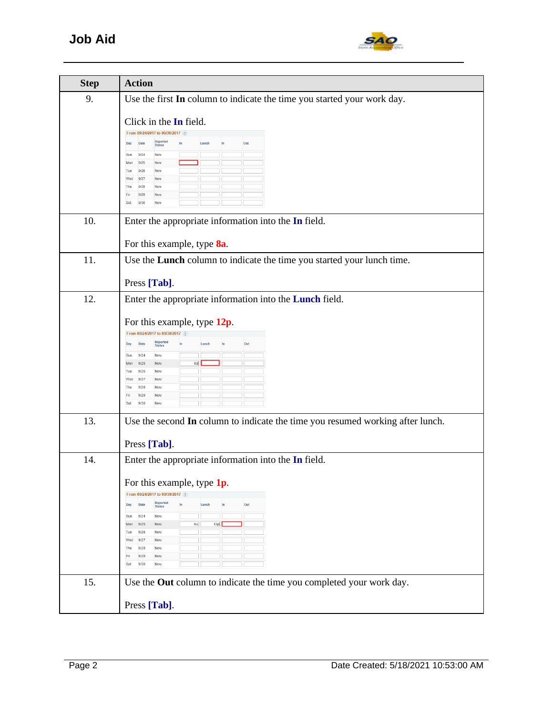

| <b>Step</b> | <b>Action</b>                                                                                                                                                                                                                                                                                                                                          |
|-------------|--------------------------------------------------------------------------------------------------------------------------------------------------------------------------------------------------------------------------------------------------------------------------------------------------------------------------------------------------------|
| 9.          | Use the first In column to indicate the time you started your work day.                                                                                                                                                                                                                                                                                |
|             | Click in the In field.<br>From 09/24/2017 to 09/30/2017<br>Reported<br>Out<br>Day<br>Date<br>Lunch<br>In<br>9/24<br>Sun<br>New<br>Mon<br>9/25<br>New<br>9/26<br>Tue<br>New<br>Wed<br>9/27<br>New<br>Thu<br>9/28<br>New<br>9/29<br>Fri<br>New<br>9/30<br>New<br>Sat                                                                                     |
| 10.         | Enter the appropriate information into the In field.<br>For this example, type 8a.                                                                                                                                                                                                                                                                     |
| 11.         | Use the Lunch column to indicate the time you started your lunch time.<br>Press [Tab].                                                                                                                                                                                                                                                                 |
| 12.         | Enter the appropriate information into the Lunch field.<br>For this example, type 12p.<br>From 09/24/2017 to 09/30/2017 2<br>Reported<br>Out<br>Date<br>Lunch<br>Day<br><b>Status</b><br>9/24<br>Sun<br>New<br>8a<br>Mon<br>9/25<br>New<br>Tue<br>9/26<br>New<br>Wed<br>9/27<br>New<br>Thu<br>9/28<br>New<br>9/29<br>Fri<br>New<br>9/30<br>New<br>Sat  |
| 13.         | Use the second In column to indicate the time you resumed working after lunch.<br>Press [Tab].                                                                                                                                                                                                                                                         |
| 14.         | Enter the appropriate information into the In field.<br>For this example, type 1p.<br>From 09/24/2017 to 09/30/2017<br>Reported<br>Out<br>Date<br>Lunch<br>Day<br><b>Status</b><br>9/24<br>New<br>Sun<br>12p<br>8a<br>Mon<br>9/25<br>New<br>Tue<br>9/26<br>New<br>9/27<br>Wed<br>New<br>Thu<br>9/28<br>New<br>Fri<br>9/29<br>New<br>9/30<br>New<br>Sat |
| 15.         | Use the Out column to indicate the time you completed your work day.<br>Press [Tab].                                                                                                                                                                                                                                                                   |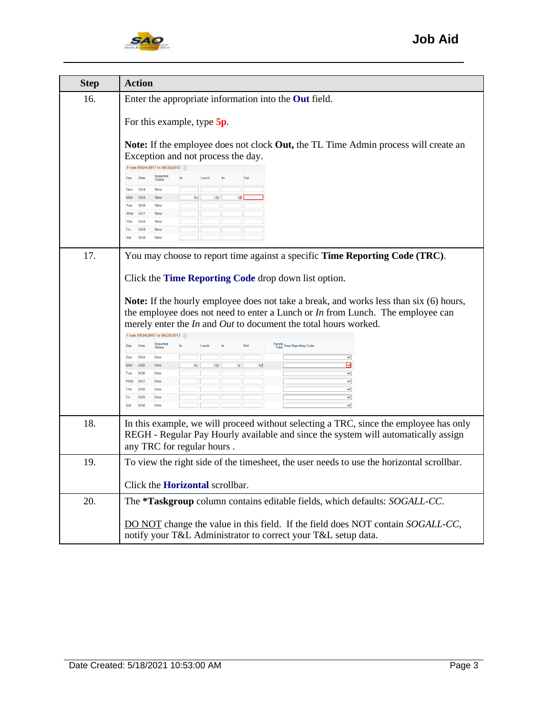

| <b>Step</b> | <b>Action</b>                                                                                                                                                                                                                                                                                                                                                                                                                                                                                                                                                                                                                                                                                                                                                                                                                                                                          |
|-------------|----------------------------------------------------------------------------------------------------------------------------------------------------------------------------------------------------------------------------------------------------------------------------------------------------------------------------------------------------------------------------------------------------------------------------------------------------------------------------------------------------------------------------------------------------------------------------------------------------------------------------------------------------------------------------------------------------------------------------------------------------------------------------------------------------------------------------------------------------------------------------------------|
| 16.         | Enter the appropriate information into the Out field.<br>For this example, type 5p.<br>Note: If the employee does not clock Out, the TL Time Admin process will create an<br>Exception and not process the day.<br>From 09/24/2017 to 09/30/2017 ?<br>Reported<br>Status<br>Date<br>Out<br>Day<br>9/24<br>Sun<br>New<br>Mon<br>9/25<br>12p<br>1p<br>New<br>8a<br>9/26<br>Tue<br>New<br>9/27<br>Wed<br>New<br>Thu<br>9/28<br>New<br>Fri<br>9/29<br>New<br>9/30<br>Sat<br>New                                                                                                                                                                                                                                                                                                                                                                                                            |
| 17.         | You may choose to report time against a specific Time Reporting Code (TRC).<br>Click the Time Reporting Code drop down list option.<br><b>Note:</b> If the hourly employee does not take a break, and works less than six (6) hours,<br>the employee does not need to enter a Lunch or $In$ from Lunch. The employee can<br>merely enter the <i>In</i> and <i>Out</i> to document the total hours worked.<br>From 09/24/2017 to 09/30/2017 ?<br>Reported<br>Status<br>Punch<br>Total Time Reporting Code<br>Date<br>Day<br>▽<br>Sun<br>9/24<br>New<br>⊡<br>5p<br>8a<br>12 <sub>D</sub><br>1 <sub>D</sub><br>Mon<br>9/25<br>New<br>$\overline{\phantom{0}}$<br>Tue<br>9/26<br>New<br>$\overline{\mathsf{v}}$<br>Wed<br>9/27<br>New<br>$\overline{\phantom{0}}$<br>Thu<br>9/28<br>New<br>$\overline{\phantom{0}}$<br>Fri<br>9/29<br>New<br>$\overline{\mathsf{v}}$<br>Sat<br>9/30<br>New |
| 18.         | In this example, we will proceed without selecting a TRC, since the employee has only<br>REGH - Regular Pay Hourly available and since the system will automatically assign<br>any TRC for regular hours.                                                                                                                                                                                                                                                                                                                                                                                                                                                                                                                                                                                                                                                                              |
| 19.         | To view the right side of the timesheet, the user needs to use the horizontal scrollbar.<br>Click the <b>Horizontal</b> scrollbar.                                                                                                                                                                                                                                                                                                                                                                                                                                                                                                                                                                                                                                                                                                                                                     |
| 20.         | The *Taskgroup column contains editable fields, which defaults: SOGALL-CC.<br>DO NOT change the value in this field. If the field does NOT contain SOGALL-CC,<br>notify your T&L Administrator to correct your T&L setup data.                                                                                                                                                                                                                                                                                                                                                                                                                                                                                                                                                                                                                                                         |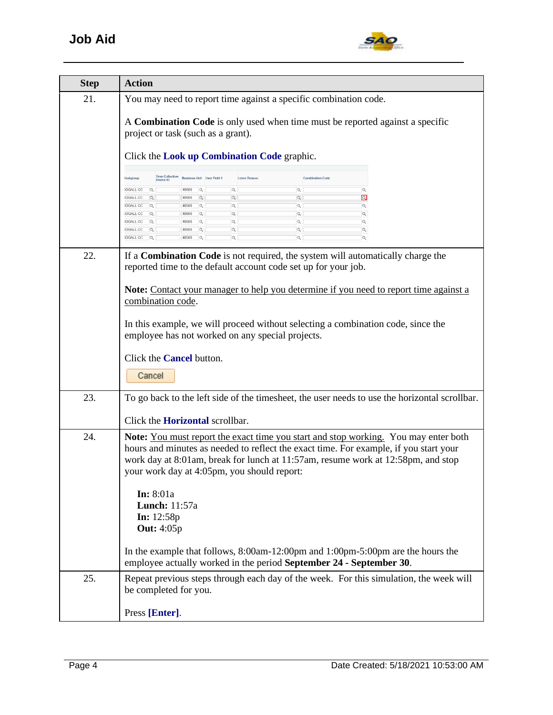

| <b>Step</b> | <b>Action</b>                                                                                                                                                                                                                                                                                                          |
|-------------|------------------------------------------------------------------------------------------------------------------------------------------------------------------------------------------------------------------------------------------------------------------------------------------------------------------------|
| 21.         | You may need to report time against a specific combination code.                                                                                                                                                                                                                                                       |
|             | A Combination Code is only used when time must be reported against a specific<br>project or task (such as a grant).                                                                                                                                                                                                    |
|             | Click the Look up Combination Code graphic.                                                                                                                                                                                                                                                                            |
|             | <b>Time Collection</b><br><b>Business Unit</b> User Field 1<br><b>Combination Code</b><br><b>Taskgroup</b><br>Leave Reason<br>Device ID                                                                                                                                                                                |
|             | $\alpha$<br>Q<br>3OGALL-CC<br>40500<br>$\overline{\mathbb{Q}}$<br>$\overline{\mathsf{Q}}$<br>$\overline{Q}$<br>40500<br><b>SOGALL-CC</b>                                                                                                                                                                               |
|             | $\alpha$<br>$\overline{a}$<br>Q<br>3OGALL-CC<br>40500<br>lQ<br>$\overline{Q}$<br>$\overline{Q}$<br>Q<br>$\alpha$<br><b>SOGALL-CC</b><br>Q<br>40500                                                                                                                                                                     |
|             | Q<br>Q<br>Q<br>lQ<br>$\mathbf{Q}$<br>3OGALL-CC<br>40500<br>$\alpha$<br>$\alpha$<br>$\alpha$<br>$\alpha$<br>$\alpha$<br>OGALL-CC<br>40500                                                                                                                                                                               |
|             | $\overline{a}$<br>$\mathbf{Q}$<br>Q<br>Q<br>OGALL-CC<br>40500<br>Q                                                                                                                                                                                                                                                     |
| 22.         | If a <b>Combination Code</b> is not required, the system will automatically charge the<br>reported time to the default account code set up for your job.                                                                                                                                                               |
|             | <b>Note:</b> Contact your manager to help you determine if you need to report time against a<br>combination code.                                                                                                                                                                                                      |
|             | In this example, we will proceed without selecting a combination code, since the<br>employee has not worked on any special projects.                                                                                                                                                                                   |
|             | Click the <b>Cancel</b> button.                                                                                                                                                                                                                                                                                        |
|             | Cancel                                                                                                                                                                                                                                                                                                                 |
| 23.         | To go back to the left side of the timesheet, the user needs to use the horizontal scrollbar.                                                                                                                                                                                                                          |
|             | Click the <b>Horizontal</b> scrollbar.                                                                                                                                                                                                                                                                                 |
| 24.         | <b>Note:</b> You must report the exact time you start and stop working. You may enter both<br>hours and minutes as needed to reflect the exact time. For example, if you start your<br>work day at 8:01am, break for lunch at 11:57am, resume work at 12:58pm, and stop<br>your work day at 4:05pm, you should report: |
|             | <b>In:</b> 8:01a<br><b>Lunch:</b> 11:57a<br><b>In:</b> $12:58p$<br><b>Out:</b> 4:05p                                                                                                                                                                                                                                   |
|             | In the example that follows, $8:00$ am-12:00pm and $1:00$ pm-5:00pm are the hours the<br>employee actually worked in the period September 24 - September 30.                                                                                                                                                           |
| 25.         | Repeat previous steps through each day of the week. For this simulation, the week will<br>be completed for you.                                                                                                                                                                                                        |
|             | Press [Enter].                                                                                                                                                                                                                                                                                                         |